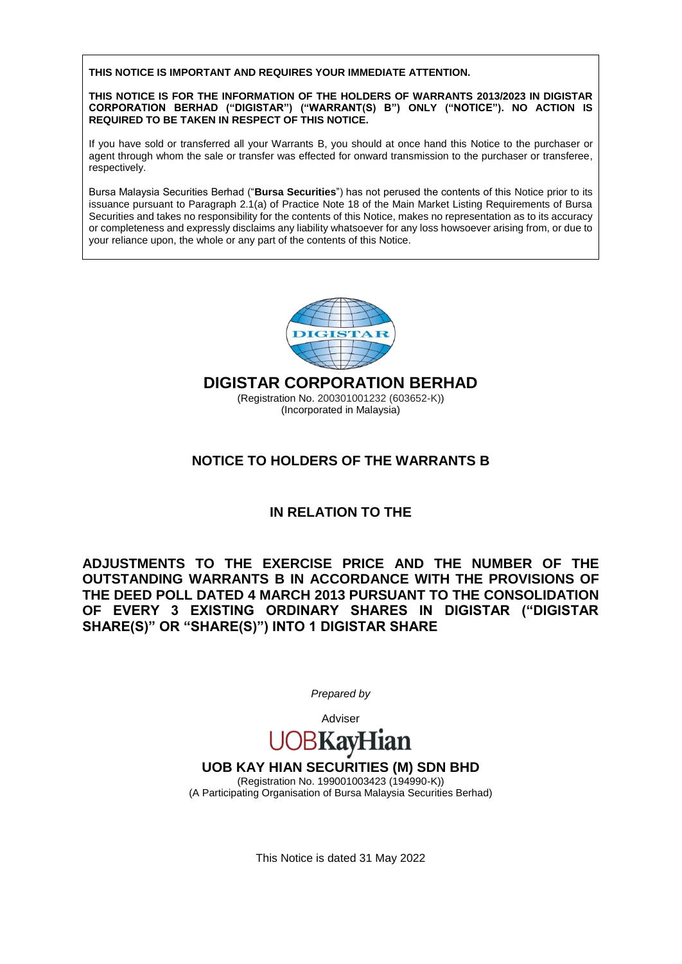**THIS NOTICE IS IMPORTANT AND REQUIRES YOUR IMMEDIATE ATTENTION.**

**THIS NOTICE IS FOR THE INFORMATION OF THE HOLDERS OF WARRANTS 2013/2023 IN DIGISTAR CORPORATION BERHAD ("DIGISTAR") ("WARRANT(S) B") ONLY ("NOTICE"). NO ACTION IS REQUIRED TO BE TAKEN IN RESPECT OF THIS NOTICE.**

If you have sold or transferred all your Warrants B, you should at once hand this Notice to the purchaser or agent through whom the sale or transfer was effected for onward transmission to the purchaser or transferee, respectively.

Bursa Malaysia Securities Berhad ("**Bursa Securities**") has not perused the contents of this Notice prior to its issuance pursuant to Paragraph 2.1(a) of Practice Note 18 of the Main Market Listing Requirements of Bursa Securities and takes no responsibility for the contents of this Notice, makes no representation as to its accuracy or completeness and expressly disclaims any liability whatsoever for any loss howsoever arising from, or due to your reliance upon, the whole or any part of the contents of this Notice.



**DIGISTAR CORPORATION BERHAD**

(Registration No. 200301001232 (603652-K)) (Incorporated in Malaysia)

## **NOTICE TO HOLDERS OF THE WARRANTS B**

## **IN RELATION TO THE**

**ADJUSTMENTS TO THE EXERCISE PRICE AND THE NUMBER OF THE OUTSTANDING WARRANTS B IN ACCORDANCE WITH THE PROVISIONS OF THE DEED POLL DATED 4 MARCH 2013 PURSUANT TO THE CONSOLIDATION OF EVERY 3 EXISTING ORDINARY SHARES IN DIGISTAR ("DIGISTAR SHARE(S)" OR "SHARE(S)") INTO 1 DIGISTAR SHARE** 

*Prepared by*

# Adviser **BKayH**

## **UOB KAY HIAN SECURITIES (M) SDN BHD**

(Registration No. 199001003423 (194990-K)) (A Participating Organisation of Bursa Malaysia Securities Berhad)

This Notice is dated 31 May 2022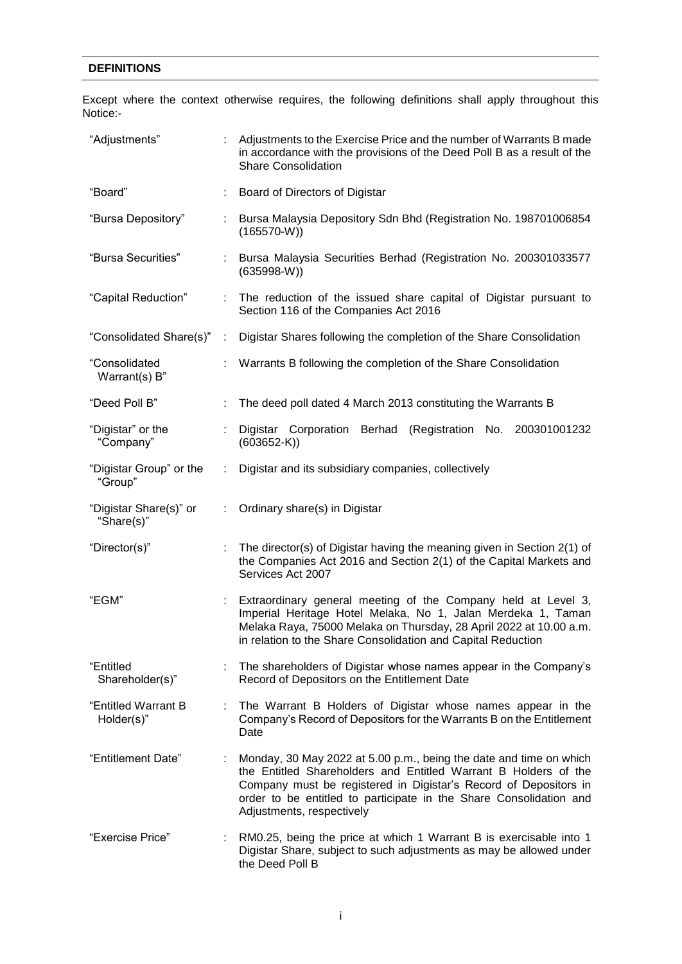#### **DEFINITIONS**

Except where the context otherwise requires, the following definitions shall apply throughout this Notice:-

| "Adjustments"                        |    | Adjustments to the Exercise Price and the number of Warrants B made<br>in accordance with the provisions of the Deed Poll B as a result of the<br><b>Share Consolidation</b>                                                                                                                                 |  |  |  |  |
|--------------------------------------|----|--------------------------------------------------------------------------------------------------------------------------------------------------------------------------------------------------------------------------------------------------------------------------------------------------------------|--|--|--|--|
| "Board"                              |    | Board of Directors of Digistar                                                                                                                                                                                                                                                                               |  |  |  |  |
| "Bursa Depository"                   |    | Bursa Malaysia Depository Sdn Bhd (Registration No. 198701006854<br>$(165570-W))$                                                                                                                                                                                                                            |  |  |  |  |
| "Bursa Securities"                   |    | : Bursa Malaysia Securities Berhad (Registration No. 200301033577<br>$(635998-W)$                                                                                                                                                                                                                            |  |  |  |  |
| "Capital Reduction"                  |    | : The reduction of the issued share capital of Digistar pursuant to<br>Section 116 of the Companies Act 2016                                                                                                                                                                                                 |  |  |  |  |
| "Consolidated Share(s)":             |    | Digistar Shares following the completion of the Share Consolidation                                                                                                                                                                                                                                          |  |  |  |  |
| "Consolidated<br>Warrant(s) $B$ "    |    | Warrants B following the completion of the Share Consolidation                                                                                                                                                                                                                                               |  |  |  |  |
| "Deed Poll B"                        |    | The deed poll dated 4 March 2013 constituting the Warrants B                                                                                                                                                                                                                                                 |  |  |  |  |
| "Digistar" or the<br>"Company"       |    | Digistar Corporation Berhad (Registration No. 200301001232<br>$(603652-K)$                                                                                                                                                                                                                                   |  |  |  |  |
| "Digistar Group" or the<br>"Group"   | ÷. | Digistar and its subsidiary companies, collectively                                                                                                                                                                                                                                                          |  |  |  |  |
| "Digistar Share(s)" or<br>"Share(s)" |    | Ordinary share(s) in Digistar                                                                                                                                                                                                                                                                                |  |  |  |  |
| "Director(s)"                        |    | The director(s) of Digistar having the meaning given in Section 2(1) of<br>the Companies Act 2016 and Section 2(1) of the Capital Markets and<br>Services Act 2007                                                                                                                                           |  |  |  |  |
| "EGM"                                |    | Extraordinary general meeting of the Company held at Level 3,<br>Imperial Heritage Hotel Melaka, No 1, Jalan Merdeka 1, Taman<br>Melaka Raya, 75000 Melaka on Thursday, 28 April 2022 at 10.00 a.m.<br>in relation to the Share Consolidation and Capital Reduction                                          |  |  |  |  |
| "Entitled<br>Shareholder(s)"         |    | The shareholders of Digistar whose names appear in the Company's<br>Record of Depositors on the Entitlement Date                                                                                                                                                                                             |  |  |  |  |
| "Entitled Warrant B<br>Holder(s)"    |    | The Warrant B Holders of Digistar whose names appear in the<br>Company's Record of Depositors for the Warrants B on the Entitlement<br>Date                                                                                                                                                                  |  |  |  |  |
| "Entitlement Date"                   |    | Monday, 30 May 2022 at 5.00 p.m., being the date and time on which<br>the Entitled Shareholders and Entitled Warrant B Holders of the<br>Company must be registered in Digistar's Record of Depositors in<br>order to be entitled to participate in the Share Consolidation and<br>Adjustments, respectively |  |  |  |  |
| "Exercise Price"                     |    | RM0.25, being the price at which 1 Warrant B is exercisable into 1<br>Digistar Share, subject to such adjustments as may be allowed under<br>the Deed Poll B                                                                                                                                                 |  |  |  |  |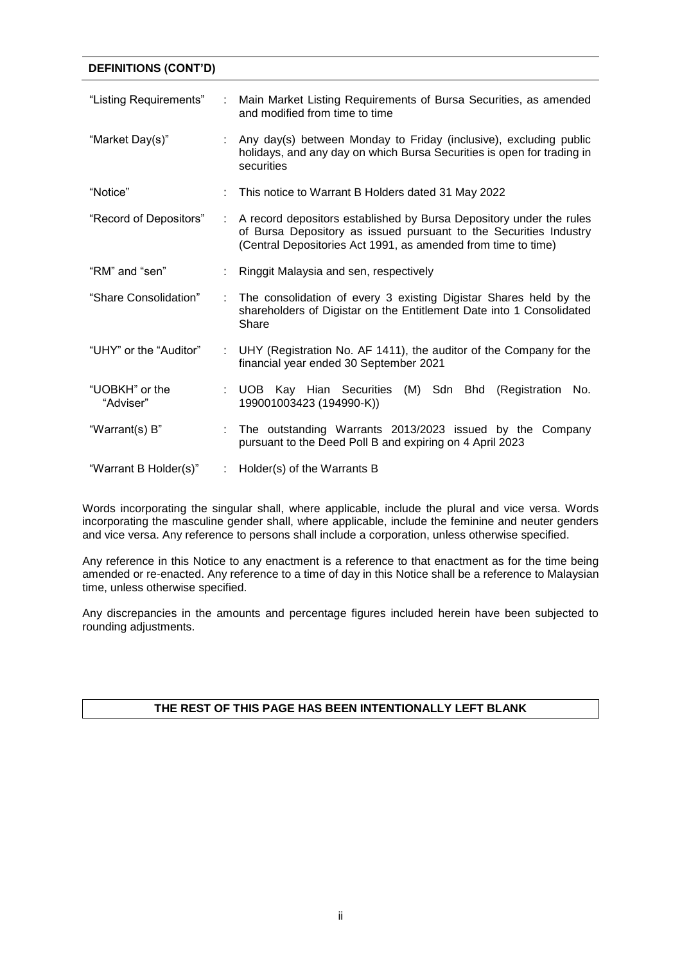## **DEFINITIONS (CONT'D)** "Listing Requirements" : Main Market Listing Requirements of Bursa Securities, as amended and modified from time to time "Market Day(s)" : Any day(s) between Monday to Friday (inclusive), excluding public holidays, and any day on which Bursa Securities is open for trading in securities "Notice" : This notice to Warrant B Holders dated 31 May 2022

- "Record of Depositors" : A record depositors established by Bursa Depository under the rules of Bursa Depository as issued pursuant to the Securities Industry (Central Depositories Act 1991, as amended from time to time)
- "RM" and "sen" : Ringgit Malaysia and sen, respectively
- "Share Consolidation" : The consolidation of every 3 existing Digistar Shares held by the shareholders of Digistar on the Entitlement Date into 1 Consolidated Share
- "UHY" or the "Auditor" : UHY (Registration No. AF 1411), the auditor of the Company for the financial year ended 30 September 2021
- "UOBKH" or the "Adviser" : UOB Kay Hian Securities (M) Sdn Bhd (Registration No. 199001003423 (194990-K))
- "Warrant(s) B" : The outstanding Warrants 2013/2023 issued by the Company pursuant to the Deed Poll B and expiring on 4 April 2023
- "Warrant B Holder(s)" : Holder(s) of the Warrants B

Words incorporating the singular shall, where applicable, include the plural and vice versa. Words incorporating the masculine gender shall, where applicable, include the feminine and neuter genders and vice versa. Any reference to persons shall include a corporation, unless otherwise specified.

Any reference in this Notice to any enactment is a reference to that enactment as for the time being amended or re-enacted. Any reference to a time of day in this Notice shall be a reference to Malaysian time, unless otherwise specified.

Any discrepancies in the amounts and percentage figures included herein have been subjected to rounding adjustments.

### **THE REST OF THIS PAGE HAS BEEN INTENTIONALLY LEFT BLANK**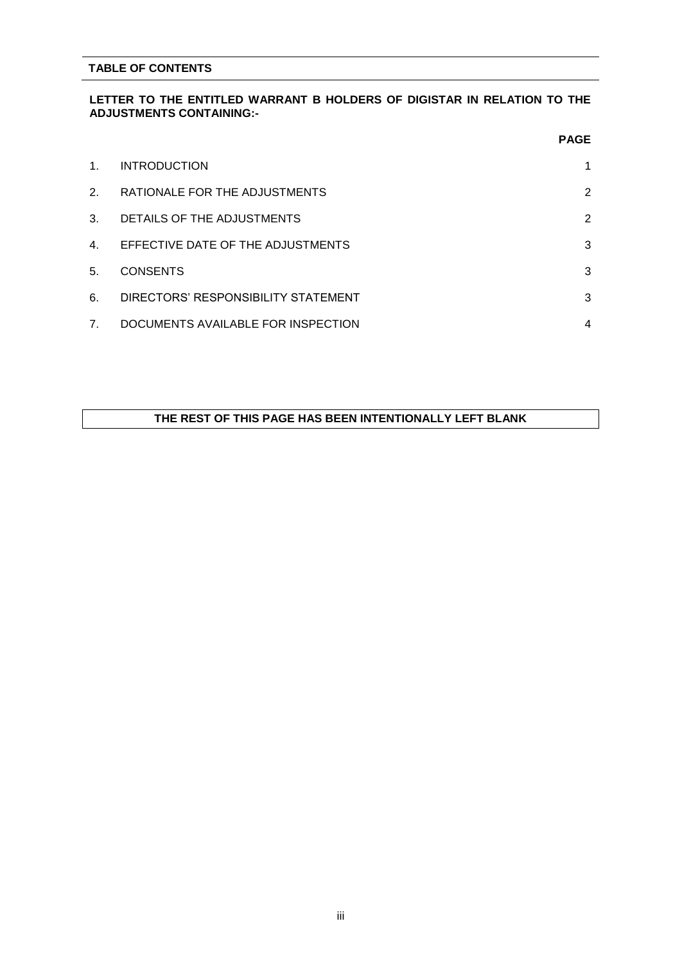#### **TABLE OF CONTENTS**

#### **LETTER TO THE ENTITLED WARRANT B HOLDERS OF DIGISTAR IN RELATION TO THE ADJUSTMENTS CONTAINING:-**

|                |                                     | <b>PAGE</b>    |
|----------------|-------------------------------------|----------------|
| $1_{\cdot}$    | <b>INTRODUCTION</b>                 | 1              |
| 2.             | RATIONALE FOR THE ADJUSTMENTS       | $\overline{2}$ |
| 3.             | DETAILS OF THE ADJUSTMENTS          | $\overline{2}$ |
| 4.             | EFFECTIVE DATE OF THE ADJUSTMENTS   | 3              |
| 5.             | <b>CONSENTS</b>                     | 3              |
| 6.             | DIRECTORS' RESPONSIBILITY STATEMENT | 3              |
| 7 <sub>1</sub> | DOCUMENTS AVAILABLE FOR INSPECTION  | $\overline{4}$ |

#### **THE REST OF THIS PAGE HAS BEEN INTENTIONALLY LEFT BLANK**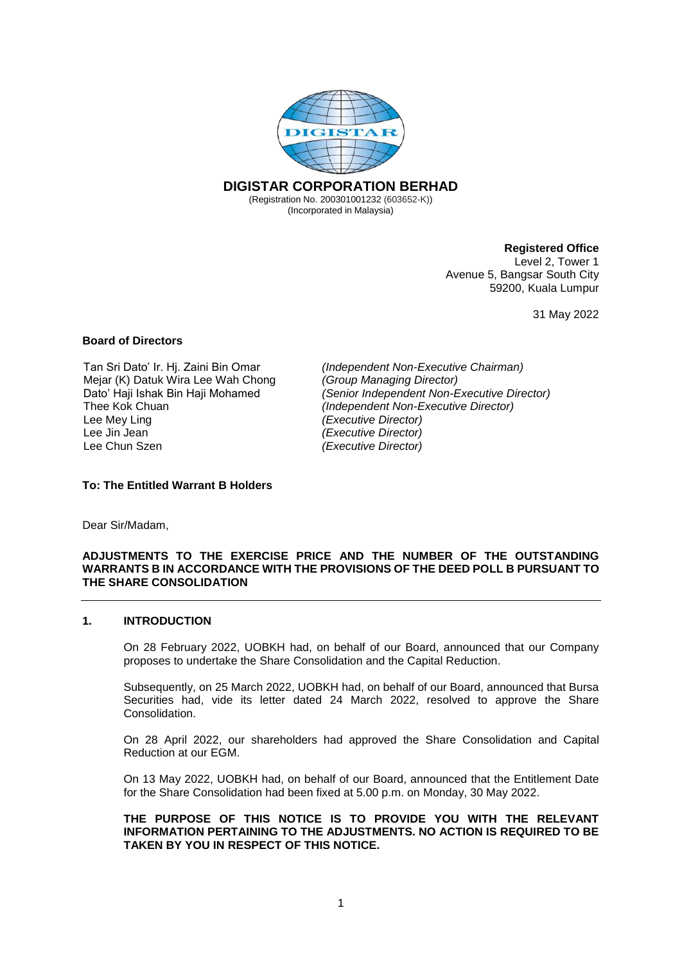

#### **Registered Office**

Level 2, Tower 1 Avenue 5, Bangsar South City 59200, Kuala Lumpur

31 May 2022

#### **Board of Directors**

Tan Sri Dato' Ir. Hj. Zaini Bin Omar *(Independent Non-Executive Chairman)* Mejar (K) Datuk Wira Lee Wah Chong *(Group Managing Director)* Lee Mey Ling<br>
Lee Jin Jean<br> *Lee Jin Jean (Executive Director) (Executive Director)* Lee Jin Jean *(Executive Director)*

Dato' Haji Ishak Bin Haji Mohamed *(Senior Independent Non-Executive Director) (Independent Non-Executive Director)* Lee Chun Szen *(Executive Director)*

#### **To: The Entitled Warrant B Holders**

Dear Sir/Madam,

#### **ADJUSTMENTS TO THE EXERCISE PRICE AND THE NUMBER OF THE OUTSTANDING WARRANTS B IN ACCORDANCE WITH THE PROVISIONS OF THE DEED POLL B PURSUANT TO THE SHARE CONSOLIDATION**

#### **1. INTRODUCTION**

On 28 February 2022, UOBKH had, on behalf of our Board, announced that our Company proposes to undertake the Share Consolidation and the Capital Reduction.

Subsequently, on 25 March 2022, UOBKH had, on behalf of our Board, announced that Bursa Securities had, vide its letter dated 24 March 2022, resolved to approve the Share Consolidation.

On 28 April 2022, our shareholders had approved the Share Consolidation and Capital Reduction at our EGM.

On 13 May 2022, UOBKH had, on behalf of our Board, announced that the Entitlement Date for the Share Consolidation had been fixed at 5.00 p.m. on Monday, 30 May 2022.

**THE PURPOSE OF THIS NOTICE IS TO PROVIDE YOU WITH THE RELEVANT INFORMATION PERTAINING TO THE ADJUSTMENTS. NO ACTION IS REQUIRED TO BE TAKEN BY YOU IN RESPECT OF THIS NOTICE.**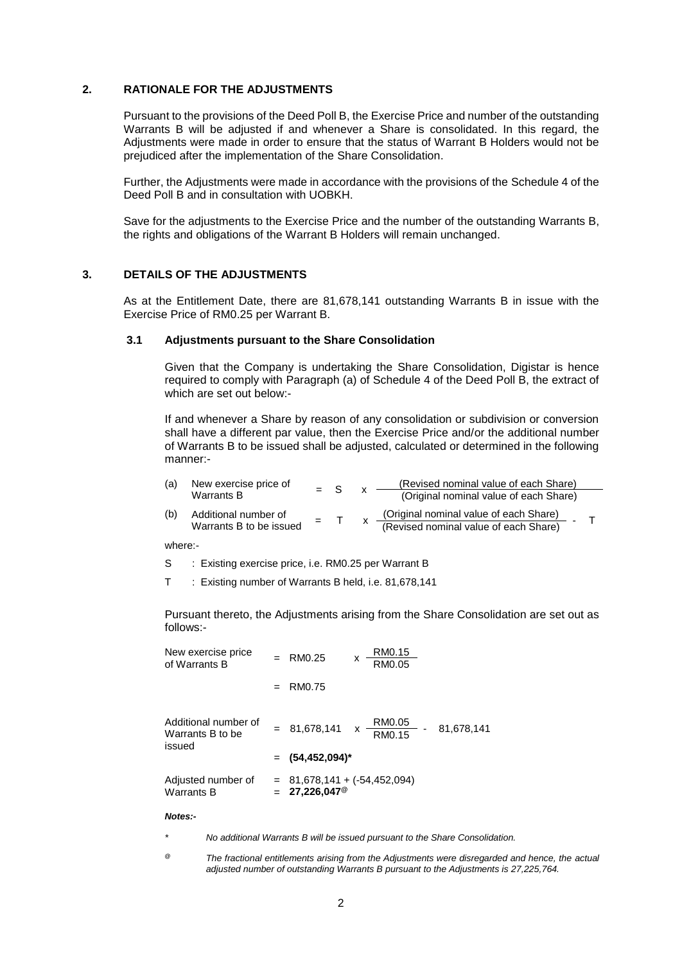#### **2. RATIONALE FOR THE ADJUSTMENTS**

Pursuant to the provisions of the Deed Poll B, the Exercise Price and number of the outstanding Warrants B will be adjusted if and whenever a Share is consolidated. In this regard, the Adjustments were made in order to ensure that the status of Warrant B Holders would not be prejudiced after the implementation of the Share Consolidation.

Further, the Adjustments were made in accordance with the provisions of the Schedule 4 of the Deed Poll B and in consultation with UOBKH.

Save for the adjustments to the Exercise Price and the number of the outstanding Warrants B, the rights and obligations of the Warrant B Holders will remain unchanged.

#### **3. DETAILS OF THE ADJUSTMENTS**

As at the Entitlement Date, there are 81,678,141 outstanding Warrants B in issue with the Exercise Price of RM0.25 per Warrant B.

#### **3.1 Adjustments pursuant to the Share Consolidation**

Given that the Company is undertaking the Share Consolidation, Digistar is hence required to comply with Paragraph (a) of Schedule 4 of the Deed Poll B, the extract of which are set out below:-

If and whenever a Share by reason of any consolidation or subdivision or conversion shall have a different par value, then the Exercise Price and/or the additional number of Warrants B to be issued shall be adjusted, calculated or determined in the following manner:-

| (a) | New exercise price of   | $=$ S |  | (Revised nominal value of each Share)  |  |
|-----|-------------------------|-------|--|----------------------------------------|--|
|     | Warrants B              |       |  | (Original nominal value of each Share) |  |
| (b) | Additional number of    | $=$   |  | (Original nominal value of each Share) |  |
|     | Warrants B to be issued |       |  | (Revised nominal value of each Share)  |  |

where:-

- S : Existing exercise price, i.e. RM0.25 per Warrant B
- T : Existing number of Warrants B held, i.e. 81,678,141

Pursuant thereto, the Adjustments arising from the Share Consolidation are set out as follows:-

| New exercise price<br>of Warrants B                | RM0.25                                                  | x | RM0.15<br>RM0.05        |            |
|----------------------------------------------------|---------------------------------------------------------|---|-------------------------|------------|
|                                                    | RM0.75                                                  |   |                         |            |
| Additional number of<br>Warrants B to be<br>issued | $= 81,678,141 \times$                                   |   | <u>RM0.05</u><br>RM0.15 | 81,678,141 |
|                                                    | $=$ (54,452,094) <sup>*</sup>                           |   |                         |            |
| Adjusted number of<br><b>Warrants B</b>            | $81,678,141 + (-54,452,094)$<br>27,226,047 <sup>@</sup> |   |                         |            |

#### *Notes:-*

*\* No additional Warrants B will be issued pursuant to the Share Consolidation.*

*@ The fractional entitlements arising from the Adjustments were disregarded and hence, the actual adjusted number of outstanding Warrants B pursuant to the Adjustments is 27,225,764.*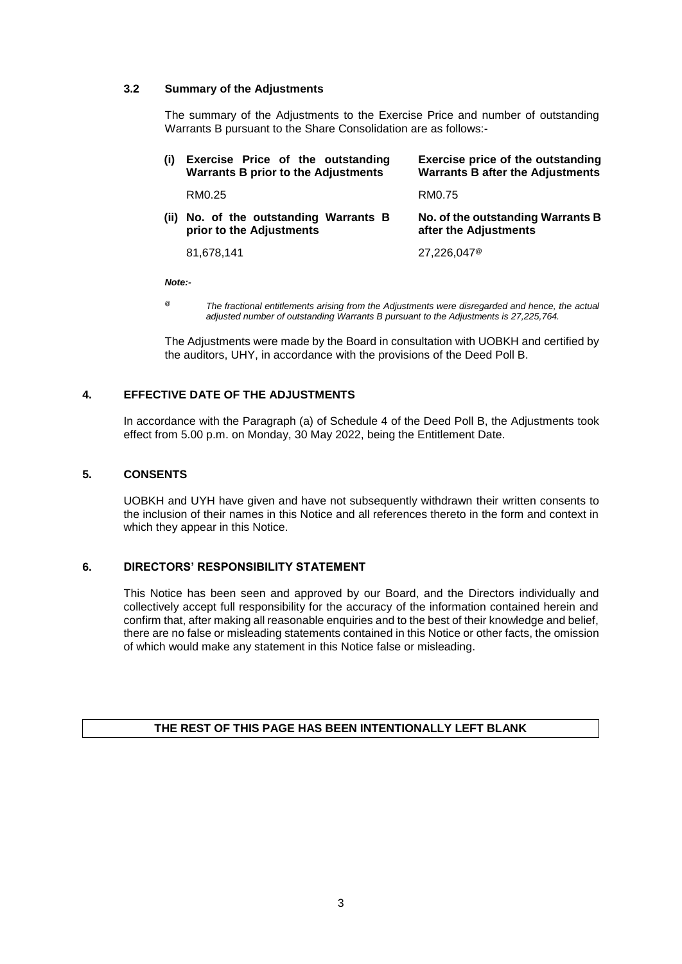#### **3.2 Summary of the Adjustments**

The summary of the Adjustments to the Exercise Price and number of outstanding Warrants B pursuant to the Share Consolidation are as follows:-

| (i)  | Exercise Price of the outstanding<br><b>Warrants B prior to the Adjustments</b> | Exercise price of the outstanding<br><b>Warrants B after the Adjustments</b> |
|------|---------------------------------------------------------------------------------|------------------------------------------------------------------------------|
|      | RM0.25                                                                          | RM0.75                                                                       |
| (ii) | No. of the outstanding Warrants B<br>prior to the Adjustments                   | No. of the outstanding Warrants B<br>after the Adjustments                   |
|      | 81,678,141                                                                      | $27.226.047$ <sup>@</sup>                                                    |

*Note:-*

*@ The fractional entitlements arising from the Adjustments were disregarded and hence, the actual adjusted number of outstanding Warrants B pursuant to the Adjustments is 27,225,764.*

The Adjustments were made by the Board in consultation with UOBKH and certified by the auditors, UHY, in accordance with the provisions of the Deed Poll B.

#### **4. EFFECTIVE DATE OF THE ADJUSTMENTS**

In accordance with the Paragraph (a) of Schedule 4 of the Deed Poll B, the Adjustments took effect from 5.00 p.m. on Monday, 30 May 2022, being the Entitlement Date.

#### **5. CONSENTS**

UOBKH and UYH have given and have not subsequently withdrawn their written consents to the inclusion of their names in this Notice and all references thereto in the form and context in which they appear in this Notice.

#### **6. DIRECTORS' RESPONSIBILITY STATEMENT**

This Notice has been seen and approved by our Board, and the Directors individually and collectively accept full responsibility for the accuracy of the information contained herein and confirm that, after making all reasonable enquiries and to the best of their knowledge and belief, there are no false or misleading statements contained in this Notice or other facts, the omission of which would make any statement in this Notice false or misleading.

#### **THE REST OF THIS PAGE HAS BEEN INTENTIONALLY LEFT BLANK**